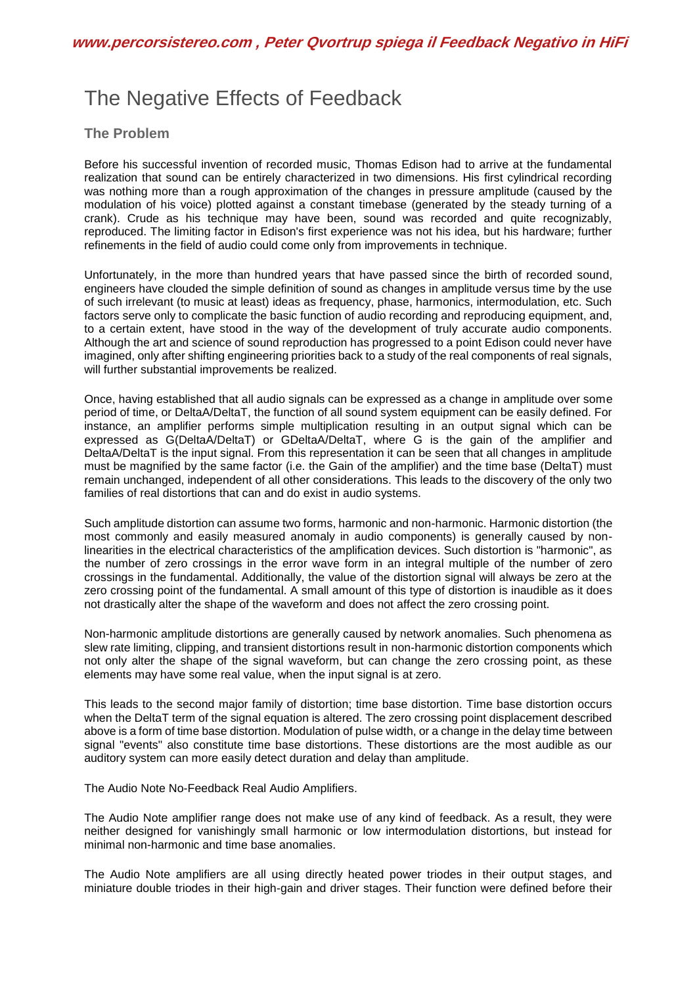## The Negative Effects of Feedback

## **The Problem**

Before his successful invention of recorded music, Thomas Edison had to arrive at the fundamental realization that sound can be entirely characterized in two dimensions. His first cylindrical recording was nothing more than a rough approximation of the changes in pressure amplitude (caused by the modulation of his voice) plotted against a constant timebase (generated by the steady turning of a crank). Crude as his technique may have been, sound was recorded and quite recognizably, reproduced. The limiting factor in Edison's first experience was not his idea, but his hardware; further refinements in the field of audio could come only from improvements in technique.

Unfortunately, in the more than hundred years that have passed since the birth of recorded sound, engineers have clouded the simple definition of sound as changes in amplitude versus time by the use of such irrelevant (to music at least) ideas as frequency, phase, harmonics, intermodulation, etc. Such factors serve only to complicate the basic function of audio recording and reproducing equipment, and, to a certain extent, have stood in the way of the development of truly accurate audio components. Although the art and science of sound reproduction has progressed to a point Edison could never have imagined, only after shifting engineering priorities back to a study of the real components of real signals, will further substantial improvements be realized.

Once, having established that all audio signals can be expressed as a change in amplitude over some period of time, or DeltaA/DeltaT, the function of all sound system equipment can be easily defined. For instance, an amplifier performs simple multiplication resulting in an output signal which can be expressed as G(DeltaA/DeltaT) or GDeltaA/DeltaT, where G is the gain of the amplifier and DeltaA/DeltaT is the input signal. From this representation it can be seen that all changes in amplitude must be magnified by the same factor (i.e. the Gain of the amplifier) and the time base (DeltaT) must remain unchanged, independent of all other considerations. This leads to the discovery of the only two families of real distortions that can and do exist in audio systems.

Such amplitude distortion can assume two forms, harmonic and non-harmonic. Harmonic distortion (the most commonly and easily measured anomaly in audio components) is generally caused by nonlinearities in the electrical characteristics of the amplification devices. Such distortion is "harmonic", as the number of zero crossings in the error wave form in an integral multiple of the number of zero crossings in the fundamental. Additionally, the value of the distortion signal will always be zero at the zero crossing point of the fundamental. A small amount of this type of distortion is inaudible as it does not drastically alter the shape of the waveform and does not affect the zero crossing point.

Non-harmonic amplitude distortions are generally caused by network anomalies. Such phenomena as slew rate limiting, clipping, and transient distortions result in non-harmonic distortion components which not only alter the shape of the signal waveform, but can change the zero crossing point, as these elements may have some real value, when the input signal is at zero.

This leads to the second major family of distortion; time base distortion. Time base distortion occurs when the DeltaT term of the signal equation is altered. The zero crossing point displacement described above is a form of time base distortion. Modulation of pulse width, or a change in the delay time between signal "events" also constitute time base distortions. These distortions are the most audible as our auditory system can more easily detect duration and delay than amplitude.

The Audio Note No-Feedback Real Audio Amplifiers.

The Audio Note amplifier range does not make use of any kind of feedback. As a result, they were neither designed for vanishingly small harmonic or low intermodulation distortions, but instead for minimal non-harmonic and time base anomalies.

The Audio Note amplifiers are all using directly heated power triodes in their output stages, and miniature double triodes in their high-gain and driver stages. Their function were defined before their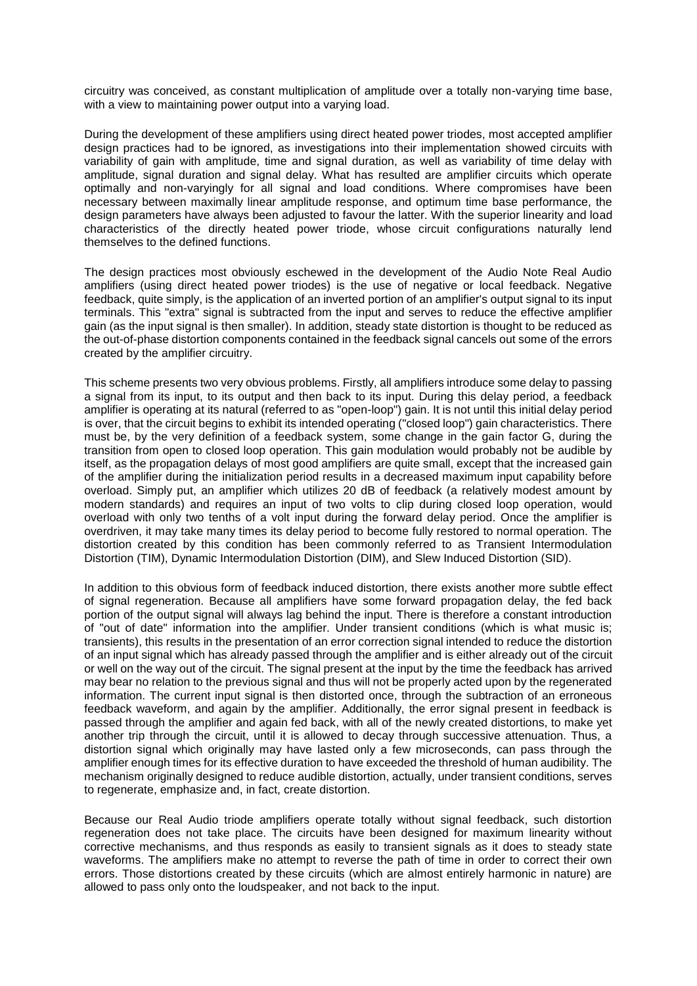circuitry was conceived, as constant multiplication of amplitude over a totally non-varying time base, with a view to maintaining power output into a varying load.

During the development of these amplifiers using direct heated power triodes, most accepted amplifier design practices had to be ignored, as investigations into their implementation showed circuits with variability of gain with amplitude, time and signal duration, as well as variability of time delay with amplitude, signal duration and signal delay. What has resulted are amplifier circuits which operate optimally and non-varyingly for all signal and load conditions. Where compromises have been necessary between maximally linear amplitude response, and optimum time base performance, the design parameters have always been adjusted to favour the latter. With the superior linearity and load characteristics of the directly heated power triode, whose circuit configurations naturally lend themselves to the defined functions.

The design practices most obviously eschewed in the development of the Audio Note Real Audio amplifiers (using direct heated power triodes) is the use of negative or local feedback. Negative feedback, quite simply, is the application of an inverted portion of an amplifier's output signal to its input terminals. This "extra" signal is subtracted from the input and serves to reduce the effective amplifier gain (as the input signal is then smaller). In addition, steady state distortion is thought to be reduced as the out-of-phase distortion components contained in the feedback signal cancels out some of the errors created by the amplifier circuitry.

This scheme presents two very obvious problems. Firstly, all amplifiers introduce some delay to passing a signal from its input, to its output and then back to its input. During this delay period, a feedback amplifier is operating at its natural (referred to as "open-loop") gain. It is not until this initial delay period is over, that the circuit begins to exhibit its intended operating ("closed loop") gain characteristics. There must be, by the very definition of a feedback system, some change in the gain factor G, during the transition from open to closed loop operation. This gain modulation would probably not be audible by itself, as the propagation delays of most good amplifiers are quite small, except that the increased gain of the amplifier during the initialization period results in a decreased maximum input capability before overload. Simply put, an amplifier which utilizes 20 dB of feedback (a relatively modest amount by modern standards) and requires an input of two volts to clip during closed loop operation, would overload with only two tenths of a volt input during the forward delay period. Once the amplifier is overdriven, it may take many times its delay period to become fully restored to normal operation. The distortion created by this condition has been commonly referred to as Transient Intermodulation Distortion (TIM), Dynamic Intermodulation Distortion (DIM), and Slew Induced Distortion (SID).

In addition to this obvious form of feedback induced distortion, there exists another more subtle effect of signal regeneration. Because all amplifiers have some forward propagation delay, the fed back portion of the output signal will always lag behind the input. There is therefore a constant introduction of "out of date" information into the amplifier. Under transient conditions (which is what music is; transients), this results in the presentation of an error correction signal intended to reduce the distortion of an input signal which has already passed through the amplifier and is either already out of the circuit or well on the way out of the circuit. The signal present at the input by the time the feedback has arrived may bear no relation to the previous signal and thus will not be properly acted upon by the regenerated information. The current input signal is then distorted once, through the subtraction of an erroneous feedback waveform, and again by the amplifier. Additionally, the error signal present in feedback is passed through the amplifier and again fed back, with all of the newly created distortions, to make yet another trip through the circuit, until it is allowed to decay through successive attenuation. Thus, a distortion signal which originally may have lasted only a few microseconds, can pass through the amplifier enough times for its effective duration to have exceeded the threshold of human audibility. The mechanism originally designed to reduce audible distortion, actually, under transient conditions, serves to regenerate, emphasize and, in fact, create distortion.

Because our Real Audio triode amplifiers operate totally without signal feedback, such distortion regeneration does not take place. The circuits have been designed for maximum linearity without corrective mechanisms, and thus responds as easily to transient signals as it does to steady state waveforms. The amplifiers make no attempt to reverse the path of time in order to correct their own errors. Those distortions created by these circuits (which are almost entirely harmonic in nature) are allowed to pass only onto the loudspeaker, and not back to the input.